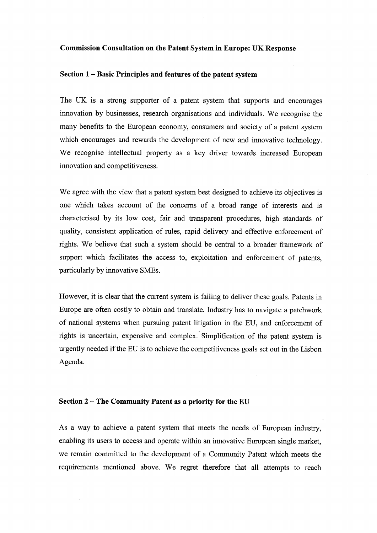#### Commission Consultation on the Patent System in Europe: UK Response

## Section 1 - Basic Principles and features of the patent system

The UK is a strong supporter of a patent system that supports and encourages innovation by businesses, research organisations and individuals. We recognise the many benefits to the European economy, consumers and society of a patent system which encourages and rewards the development of new and innovative technology. We recognise intellectual property as a key driver towards increased European innovation and competitiveness.

We agree with the view that a patent system best designed to achieve its objectives is one which takes account of the concerns of a broad range of interests and is characterised by its low cost, fair and transparent procedures, high standards of quality, consistent application of rules, rapid delivery and effective enforcement of rights. We believe that such a system should be central to a broader ffamework of support which facilitates the access to, exploitation and enforcement of patents, particularly by innovative SMEs.

However, it is clear that the current system is failing to deliver these goals. Patents in Europe are often costly to obtain and translate. Industry has to navigate a patchwork of national systems when pursuing patent litigation in the EU, and enforcement of rights is uncertain, expensive and complex. Simplification of the patent system is urgently needed if the EU is to achieve the competitveness goals set out in the Lisbon Agenda.

#### Section 2 – The Community Patent as a priority for the EU

As a way to achieve a patent system that meets the needs of European industry, enabling its users to access and operate within an innovative European single market, we remain committed to the development of a Community Patent which meets the requirements mentioned above. We regret therefore that all attempts to reach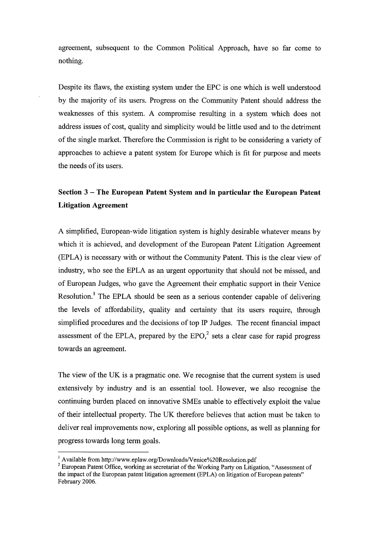agreement, subsequent to the Common Political Approach, have so far come to nothing.

Despite its flaws, the existing system under the EPC is one which is well understood by the majority of its users. Progress on the Community Patent should address the weaknesses of this system. A compromise resulting in a system which does not address issues of cost, quality and simplicity would be little used and to the detriment of the single market. Therefore the Commission is right to be considering a variety of approaches to achieve a patent system for Europe which is fit for purpose and meets the needs of its users.

# Section 3 – The European Patent System and in particular the European Patent Litigation Agreement

A simplified, European-wide litigation system is highly desirable whatever means by which it is achieved, and development of the European Patent Litigation Agreement (EPLA) is necessary with or without the Community Patent. This is the clear view of industry, who see the EPLA as an urgent opportunity that should not be missed, and of European Judges, who gave the Agreement their emphatic support in their Venice Resolution.<sup>1</sup> The EPLA should be seen as a serious contender capable of delivering the levels of affordability, quality and certainty that its users require, through simplified procedures and the decisions of top IP Judges. The recent financial impact assessment of the EPLA, prepared by the  $EPO<sub>1</sub><sup>2</sup>$  sets a clear case for rapid progress towards an agreement.

The view of the UK is a pragmatic one. We recognise that the current system is used extensively by industry and is an essential tool. However, we also recognise the continuing burden placed on innovative SMEs unable to effectively exploit the value of their intellectual property. The UK therefore believes that action must be taken to deliver real improvements now, exploring all possible options, as well as planning for progress towards long term goals.

<sup>&</sup>lt;sup>1</sup> Available from http://www.eplaw.org/Downloads/Venice%20Resolution.pdf

 $2$  European Patent Office, working as secretariat of the Working Party on Litigation, "Assessment of the impact of the European patent litigation agreement (EPLA) on litigation of European patents" February 2006.